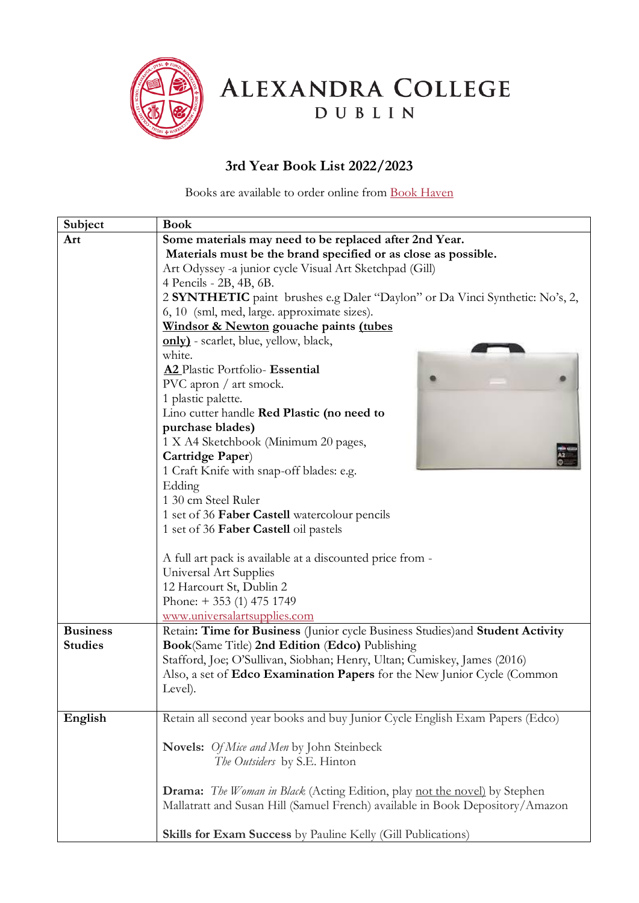

ALEXANDRA COLLEGE DUBLIN

## **3rd Year Book List 2022/2023**

Books are available to order online from [Book Haven](https://www.bookhaven.ie/booklists/view/index/?code=S4723y)

| Some materials may need to be replaced after 2nd Year.<br>Art<br>Materials must be the brand specified or as close as possible.<br>Art Odyssey -a junior cycle Visual Art Sketchpad (Gill)<br>4 Pencils - 2B, 4B, 6B.<br>2 SYNTHETIC paint brushes e.g Daler "Daylon" or Da Vinci Synthetic: No's, 2,<br>6, 10 (sml, med, large. approximate sizes).<br>Windsor & Newton gouache paints (tubes<br>only) - scarlet, blue, yellow, black,<br>white.<br>A2 Plastic Portfolio- Essential<br>PVC apron / art smock.<br>1 plastic palette.<br>Lino cutter handle Red Plastic (no need to<br>purchase blades)<br>1 X A4 Sketchbook (Minimum 20 pages,<br>Cartridge Paper) | Subject | <b>Book</b>                              |
|--------------------------------------------------------------------------------------------------------------------------------------------------------------------------------------------------------------------------------------------------------------------------------------------------------------------------------------------------------------------------------------------------------------------------------------------------------------------------------------------------------------------------------------------------------------------------------------------------------------------------------------------------------------------|---------|------------------------------------------|
|                                                                                                                                                                                                                                                                                                                                                                                                                                                                                                                                                                                                                                                                    |         |                                          |
|                                                                                                                                                                                                                                                                                                                                                                                                                                                                                                                                                                                                                                                                    |         |                                          |
|                                                                                                                                                                                                                                                                                                                                                                                                                                                                                                                                                                                                                                                                    |         |                                          |
|                                                                                                                                                                                                                                                                                                                                                                                                                                                                                                                                                                                                                                                                    |         |                                          |
|                                                                                                                                                                                                                                                                                                                                                                                                                                                                                                                                                                                                                                                                    |         |                                          |
|                                                                                                                                                                                                                                                                                                                                                                                                                                                                                                                                                                                                                                                                    |         |                                          |
|                                                                                                                                                                                                                                                                                                                                                                                                                                                                                                                                                                                                                                                                    |         |                                          |
|                                                                                                                                                                                                                                                                                                                                                                                                                                                                                                                                                                                                                                                                    |         |                                          |
|                                                                                                                                                                                                                                                                                                                                                                                                                                                                                                                                                                                                                                                                    |         |                                          |
|                                                                                                                                                                                                                                                                                                                                                                                                                                                                                                                                                                                                                                                                    |         |                                          |
|                                                                                                                                                                                                                                                                                                                                                                                                                                                                                                                                                                                                                                                                    |         |                                          |
|                                                                                                                                                                                                                                                                                                                                                                                                                                                                                                                                                                                                                                                                    |         |                                          |
|                                                                                                                                                                                                                                                                                                                                                                                                                                                                                                                                                                                                                                                                    |         |                                          |
|                                                                                                                                                                                                                                                                                                                                                                                                                                                                                                                                                                                                                                                                    |         |                                          |
|                                                                                                                                                                                                                                                                                                                                                                                                                                                                                                                                                                                                                                                                    |         |                                          |
|                                                                                                                                                                                                                                                                                                                                                                                                                                                                                                                                                                                                                                                                    |         |                                          |
|                                                                                                                                                                                                                                                                                                                                                                                                                                                                                                                                                                                                                                                                    |         | 1 Craft Knife with snap-off blades: e.g. |
| Edding                                                                                                                                                                                                                                                                                                                                                                                                                                                                                                                                                                                                                                                             |         |                                          |
| 1 30 cm Steel Ruler                                                                                                                                                                                                                                                                                                                                                                                                                                                                                                                                                                                                                                                |         |                                          |
| 1 set of 36 Faber Castell watercolour pencils                                                                                                                                                                                                                                                                                                                                                                                                                                                                                                                                                                                                                      |         |                                          |
| 1 set of 36 Faber Castell oil pastels                                                                                                                                                                                                                                                                                                                                                                                                                                                                                                                                                                                                                              |         |                                          |
|                                                                                                                                                                                                                                                                                                                                                                                                                                                                                                                                                                                                                                                                    |         |                                          |
| A full art pack is available at a discounted price from -                                                                                                                                                                                                                                                                                                                                                                                                                                                                                                                                                                                                          |         |                                          |
| Universal Art Supplies                                                                                                                                                                                                                                                                                                                                                                                                                                                                                                                                                                                                                                             |         |                                          |
| 12 Harcourt St, Dublin 2                                                                                                                                                                                                                                                                                                                                                                                                                                                                                                                                                                                                                                           |         |                                          |
| Phone: $+ 353$ (1) 475 1749                                                                                                                                                                                                                                                                                                                                                                                                                                                                                                                                                                                                                                        |         |                                          |
| www.universalartsupplies.com                                                                                                                                                                                                                                                                                                                                                                                                                                                                                                                                                                                                                                       |         |                                          |
| Retain: Time for Business (Junior cycle Business Studies) and Student Activity<br><b>Business</b>                                                                                                                                                                                                                                                                                                                                                                                                                                                                                                                                                                  |         |                                          |
| <b>Studies</b><br>Book(Same Title) 2nd Edition (Edco) Publishing                                                                                                                                                                                                                                                                                                                                                                                                                                                                                                                                                                                                   |         |                                          |
| Stafford, Joe; O'Sullivan, Siobhan; Henry, Ultan; Cumiskey, James (2016)                                                                                                                                                                                                                                                                                                                                                                                                                                                                                                                                                                                           |         |                                          |
| Also, a set of Edco Examination Papers for the New Junior Cycle (Common                                                                                                                                                                                                                                                                                                                                                                                                                                                                                                                                                                                            |         |                                          |
| Level).                                                                                                                                                                                                                                                                                                                                                                                                                                                                                                                                                                                                                                                            |         |                                          |
| Retain all second year books and buy Junior Cycle English Exam Papers (Edco)                                                                                                                                                                                                                                                                                                                                                                                                                                                                                                                                                                                       |         |                                          |
| English                                                                                                                                                                                                                                                                                                                                                                                                                                                                                                                                                                                                                                                            |         |                                          |
| <b>Novels:</b> <i>Of Mice and Men</i> by John Steinbeck                                                                                                                                                                                                                                                                                                                                                                                                                                                                                                                                                                                                            |         |                                          |
| The Outsiders by S.E. Hinton                                                                                                                                                                                                                                                                                                                                                                                                                                                                                                                                                                                                                                       |         |                                          |
|                                                                                                                                                                                                                                                                                                                                                                                                                                                                                                                                                                                                                                                                    |         |                                          |
| <b>Drama:</b> The Woman in Black (Acting Edition, play not the novel) by Stephen                                                                                                                                                                                                                                                                                                                                                                                                                                                                                                                                                                                   |         |                                          |
| Mallatratt and Susan Hill (Samuel French) available in Book Depository/Amazon                                                                                                                                                                                                                                                                                                                                                                                                                                                                                                                                                                                      |         |                                          |
|                                                                                                                                                                                                                                                                                                                                                                                                                                                                                                                                                                                                                                                                    |         |                                          |
| Skills for Exam Success by Pauline Kelly (Gill Publications)                                                                                                                                                                                                                                                                                                                                                                                                                                                                                                                                                                                                       |         |                                          |